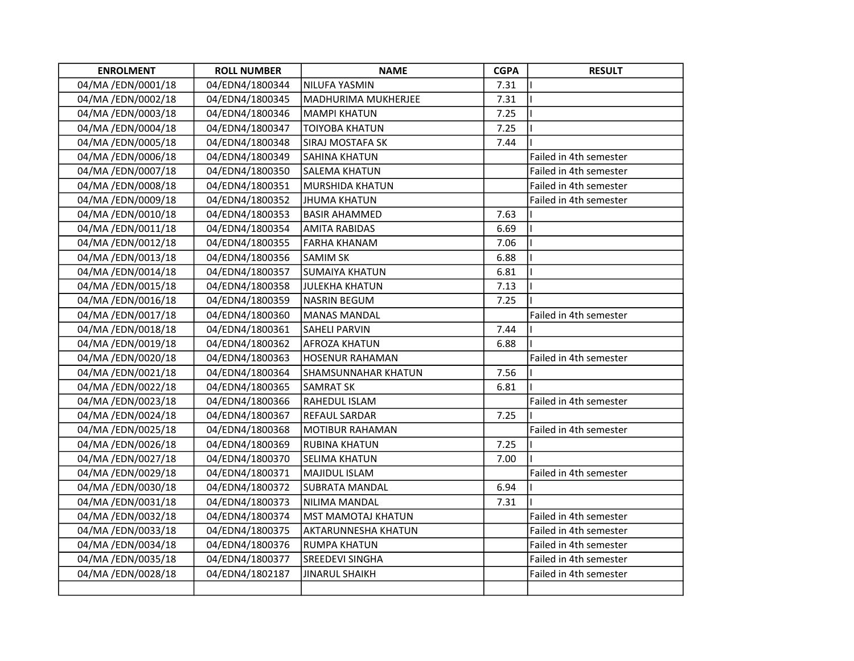| <b>ENROLMENT</b>  | <b>ROLL NUMBER</b> | <b>NAME</b>                | <b>CGPA</b> | <b>RESULT</b>          |
|-------------------|--------------------|----------------------------|-------------|------------------------|
| 04/MA/EDN/0001/18 | 04/EDN4/1800344    | <b>NILUFA YASMIN</b>       | 7.31        |                        |
| 04/MA/EDN/0002/18 | 04/EDN4/1800345    | <b>MADHURIMA MUKHERJEE</b> | 7.31        |                        |
| 04/MA/EDN/0003/18 | 04/EDN4/1800346    | <b>MAMPI KHATUN</b>        | 7.25        |                        |
| 04/MA/EDN/0004/18 | 04/EDN4/1800347    | <b>TOIYOBA KHATUN</b>      | 7.25        |                        |
| 04/MA/EDN/0005/18 | 04/EDN4/1800348    | <b>SIRAJ MOSTAFA SK</b>    | 7.44        |                        |
| 04/MA/EDN/0006/18 | 04/EDN4/1800349    | <b>SAHINA KHATUN</b>       |             | Failed in 4th semester |
| 04/MA/EDN/0007/18 | 04/EDN4/1800350    | <b>SALEMA KHATUN</b>       |             | Failed in 4th semester |
| 04/MA/EDN/0008/18 | 04/EDN4/1800351    | MURSHIDA KHATUN            |             | Failed in 4th semester |
| 04/MA/EDN/0009/18 | 04/EDN4/1800352    | <b>JHUMA KHATUN</b>        |             | Failed in 4th semester |
| 04/MA/EDN/0010/18 | 04/EDN4/1800353    | <b>BASIR AHAMMED</b>       | 7.63        |                        |
| 04/MA/EDN/0011/18 | 04/EDN4/1800354    | <b>AMITA RABIDAS</b>       | 6.69        |                        |
| 04/MA/EDN/0012/18 | 04/EDN4/1800355    | <b>FARHA KHANAM</b>        | 7.06        |                        |
| 04/MA/EDN/0013/18 | 04/EDN4/1800356    | <b>SAMIM SK</b>            | 6.88        |                        |
| 04/MA/EDN/0014/18 | 04/EDN4/1800357    | <b>SUMAIYA KHATUN</b>      | 6.81        |                        |
| 04/MA/EDN/0015/18 | 04/EDN4/1800358    | <b>JULEKHA KHATUN</b>      | 7.13        |                        |
| 04/MA/EDN/0016/18 | 04/EDN4/1800359    | <b>NASRIN BEGUM</b>        | 7.25        |                        |
| 04/MA/EDN/0017/18 | 04/EDN4/1800360    | <b>MANAS MANDAL</b>        |             | Failed in 4th semester |
| 04/MA/EDN/0018/18 | 04/EDN4/1800361    | <b>SAHELI PARVIN</b>       | 7.44        |                        |
| 04/MA/EDN/0019/18 | 04/EDN4/1800362    | <b>AFROZA KHATUN</b>       | 6.88        |                        |
| 04/MA/EDN/0020/18 | 04/EDN4/1800363    | <b>HOSENUR RAHAMAN</b>     |             | Failed in 4th semester |
| 04/MA/EDN/0021/18 | 04/EDN4/1800364    | <b>SHAMSUNNAHAR KHATUN</b> | 7.56        |                        |
| 04/MA/EDN/0022/18 | 04/EDN4/1800365    | <b>SAMRAT SK</b>           | 6.81        |                        |
| 04/MA/EDN/0023/18 | 04/EDN4/1800366    | RAHEDUL ISLAM              |             | Failed in 4th semester |
| 04/MA/EDN/0024/18 | 04/EDN4/1800367    | REFAUL SARDAR              | 7.25        |                        |
| 04/MA/EDN/0025/18 | 04/EDN4/1800368    | <b>MOTIBUR RAHAMAN</b>     |             | Failed in 4th semester |
| 04/MA/EDN/0026/18 | 04/EDN4/1800369    | <b>RUBINA KHATUN</b>       | 7.25        |                        |
| 04/MA/EDN/0027/18 | 04/EDN4/1800370    | <b>SELIMA KHATUN</b>       | 7.00        |                        |
| 04/MA/EDN/0029/18 | 04/EDN4/1800371    | <b>MAJIDUL ISLAM</b>       |             | Failed in 4th semester |
| 04/MA/EDN/0030/18 | 04/EDN4/1800372    | <b>SUBRATA MANDAL</b>      | 6.94        |                        |
| 04/MA/EDN/0031/18 | 04/EDN4/1800373    | NILIMA MANDAL              | 7.31        |                        |
| 04/MA/EDN/0032/18 | 04/EDN4/1800374    | <b>MST MAMOTAJ KHATUN</b>  |             | Failed in 4th semester |
| 04/MA/EDN/0033/18 | 04/EDN4/1800375    | <b>AKTARUNNESHA KHATUN</b> |             | Failed in 4th semester |
| 04/MA/EDN/0034/18 | 04/EDN4/1800376    | <b>RUMPA KHATUN</b>        |             | Failed in 4th semester |
| 04/MA/EDN/0035/18 | 04/EDN4/1800377    | <b>SREEDEVI SINGHA</b>     |             | Failed in 4th semester |
| 04/MA/EDN/0028/18 | 04/EDN4/1802187    | <b>JINARUL SHAIKH</b>      |             | Failed in 4th semester |
|                   |                    |                            |             |                        |